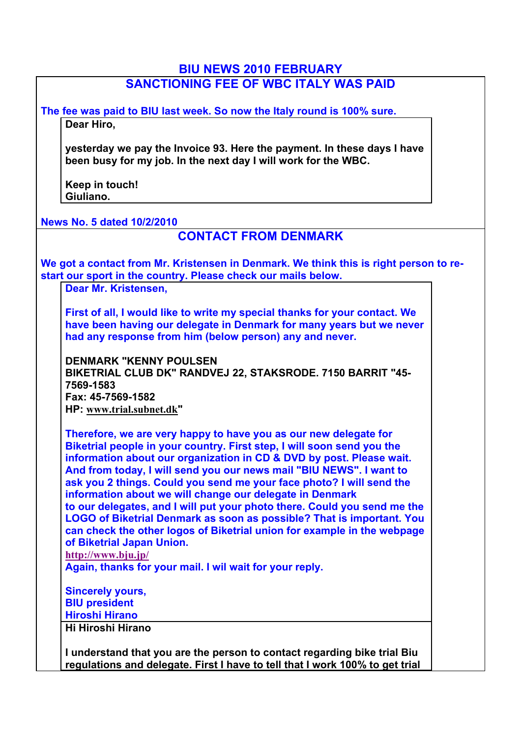# **BIU NEWS 2010 FEBRUARY SANCTIONING FEE OF WBC ITALY WAS PAID**

**The fee was paid to BIU last week. So now the Italy round is 100% sure. Dear Hiro,**

**yesterday we pay the Invoice 93. Here the payment. In these days I have been busy for my job. In the next day I will work for the WBC.**

**Keep in touch! Giuliano.**

**News No. 5 dated 10/2/2010**

### **CONTACT FROM DENMARK**

**We got a contact from Mr. Kristensen in Denmark. We think this is right person to restart our sport in the country. Please check our mails below.**

**Dear Mr. Kristensen,**

**First of all, I would like to write my special thanks for your contact. We have been having our delegate in Denmark for many years but we never had any response from him (below person) any and never.**

**DENMARK "KENNY POULSEN BIKETRIAL CLUB DK" RANDVEJ 22, STAKSRODE. 7150 BARRIT "45- 7569-1583 Fax: 45-7569-1582 HP: www.trial.subnet.dk"**

**Therefore, we are very happy to have you as our new delegate for Biketrial people in your country. First step, I will soon send you the information about our organization in CD & DVD by post. Please wait. And from today, I will send you our news mail "BIU NEWS". I want to ask you 2 things. Could you send me your face photo? I will send the information about we will change our delegate in Denmark to our delegates, and I will put your photo there. Could you send me the LOGO of Biketrial Denmark as soon as possible? That is important. You can check the other logos of Biketrial union for example in the webpage of Biketrial Japan Union. http://www.bju.jp/**

**Again, thanks for your mail. I wil wait for your reply.**

**Sincerely yours, BIU president Hiroshi Hirano**

**Hi Hiroshi Hirano**

**I understand that you are the person to contact regarding bike trial Biu regulations and delegate. First I have to tell that I work 100% to get trial**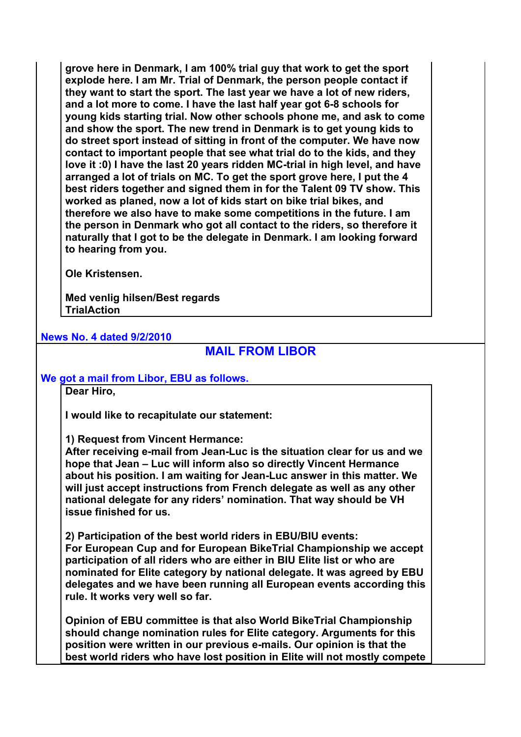**grove here in Denmark, I am 100% trial guy that work to get the sport explode here. I am Mr. Trial of Denmark, the person people contact if they want to start the sport. The last year we have a lot of new riders, and a lot more to come. I have the last half year got 6-8 schools for young kids starting trial. Now other schools phone me, and ask to come and show the sport. The new trend in Denmark is to get young kids to do street sport instead of sitting in front of the computer. We have now contact to important people that see what trial do to the kids, and they love it :0) I have the last 20 years ridden MC-trial in high level, and have arranged a lot of trials on MC. To get the sport grove here, I put the 4 best riders together and signed them in for the Talent 09 TV show. This worked as planed, now a lot of kids start on bike trial bikes, and therefore we also have to make some competitions in the future. I am the person in Denmark who got all contact to the riders, so therefore it naturally that I got to be the delegate in Denmark. I am looking forward to hearing from you.**

**Ole Kristensen.**

**Med venlig hilsen/Best regards TrialAction**

### **News No. 4 dated 9/2/2010**

# **MAIL FROM LIBOR**

#### **We got a mail from Libor, EBU as follows.**

**Dear Hiro,**

**I would like to recapitulate our statement:** 

**1) Request from Vincent Hermance:** 

**After receiving e-mail from Jean-Luc is the situation clear for us and we hope that Jean – Luc will inform also so directly Vincent Hermance about his position. I am waiting for Jean-Luc answer in this matter. We will just accept instructions from French delegate as well as any other national delegate for any riders' nomination. That way should be VH issue finished for us.** 

**2) Participation of the best world riders in EBU/BIU events: For European Cup and for European BikeTrial Championship we accept participation of all riders who are either in BIU Elite list or who are nominated for Elite category by national delegate. It was agreed by EBU delegates and we have been running all European events according this rule. It works very well so far.**

**Opinion of EBU committee is that also World BikeTrial Championship should change nomination rules for Elite category. Arguments for this position were written in our previous e-mails. Our opinion is that the best world riders who have lost position in Elite will not mostly compete**